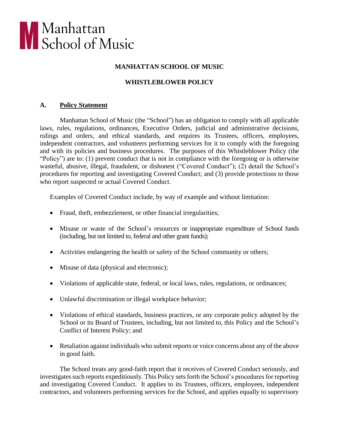

## **MANHATTAN SCHOOL OF MUSIC**

# **WHISTLEBLOWER POLICY**

## **A. Policy Statement**

Manhattan School of Music (the "School") has an obligation to comply with all applicable laws, rules, regulations, ordinances, Executive Orders, judicial and administrative decisions, rulings and orders, and ethical standards, and requires its Trustees, officers, employees, independent contractors, and volunteers performing services for it to comply with the foregoing and with its policies and business procedures. The purposes of this Whistleblower Policy (the "Policy") are to: (1) prevent conduct that is not in compliance with the foregoing or is otherwise wasteful, abusive, illegal, fraudulent, or dishonest ("Covered Conduct"); (2) detail the School's procedures for reporting and investigating Covered Conduct; and (3) provide protections to those who report suspected or actual Covered Conduct.

Examples of Covered Conduct include, by way of example and without limitation:

- Fraud, theft, embezzlement, or other financial irregularities;
- Misuse or waste of the School's resources or inappropriate expenditure of School funds (including, but not limited to, federal and other grant funds);
- Activities endangering the health or safety of the School community or others;
- Misuse of data (physical and electronic);
- Violations of applicable state, federal, or local laws, rules, regulations, or ordinances;
- Unlawful discrimination or illegal workplace behavior;
- Violations of ethical standards, business practices, or any corporate policy adopted by the School or its Board of Trustees, including, but not limited to, this Policy and the School's Conflict of Interest Policy; and
- Retaliation against individuals who submit reports or voice concerns about any of the above in good faith.

The School treats any good-faith report that it receives of Covered Conduct seriously, and investigates such reports expeditiously. This Policy sets forth the School's procedures for reporting and investigating Covered Conduct. It applies to its Trustees, officers, employees, independent contractors, and volunteers performing services for the School, and applies equally to supervisory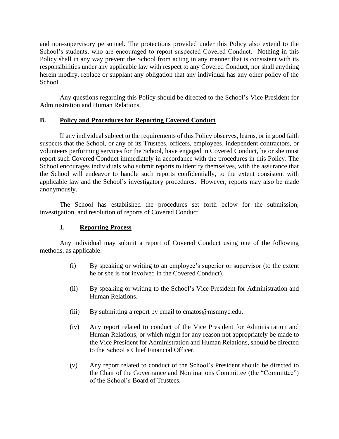and non-supervisory personnel. The protections provided under this Policy also extend to the School's students, who are encouraged to report suspected Covered Conduct. Nothing in this Policy shall in any way prevent the School from acting in any manner that is consistent with its responsibilities under any applicable law with respect to any Covered Conduct, nor shall anything herein modify, replace or supplant any obligation that any individual has any other policy of the School.

Any questions regarding this Policy should be directed to the School's Vice President for Administration and Human Relations.

## **B. Policy and Procedures for Reporting Covered Conduct**

If any individual subject to the requirements of this Policy observes, learns, or in good faith suspects that the School, or any of its Trustees, officers, employees, independent contractors, or volunteers performing services for the School, have engaged in Covered Conduct, he or she must report such Covered Conduct immediately in accordance with the procedures in this Policy. The School encourages individuals who submit reports to identify themselves, with the assurance that the School will endeavor to handle such reports confidentially, to the extent consistent with applicable law and the School's investigatory procedures. However, reports may also be made anonymously.

The School has established the procedures set forth below for the submission, investigation, and resolution of reports of Covered Conduct.

## **1. Reporting Process**

Any individual may submit a report of Covered Conduct using one of the following methods, as applicable:

- (i) By speaking or writing to an employee's superior or supervisor (to the extent he or she is not involved in the Covered Conduct).
- (ii) By speaking or writing to the School's Vice President for Administration and Human Relations.
- (iii) By submitting a report by email to cmatos@msmnyc.edu.
- (iv) Any report related to conduct of the Vice President for Administration and Human Relations, or which might for any reason not appropriately be made to the Vice President for Administration and Human Relations, should be directed to the School's Chief Financial Officer.
- (v) Any report related to conduct of the School's President should be directed to the Chair of the Governance and Nominations Committee (the "Committee") of the School's Board of Trustees.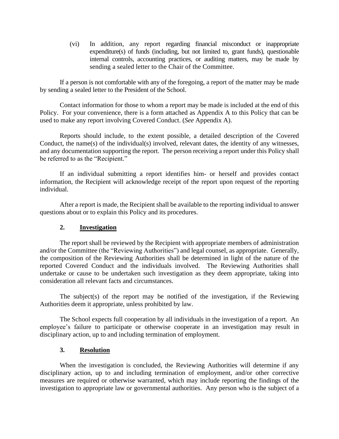(vi) In addition, any report regarding financial misconduct or inappropriate expenditure(s) of funds (including, but not limited to, grant funds), questionable internal controls, accounting practices, or auditing matters, may be made by sending a sealed letter to the Chair of the Committee.

If a person is not comfortable with any of the foregoing, a report of the matter may be made by sending a sealed letter to the President of the School.

Contact information for those to whom a report may be made is included at the end of this Policy. For your convenience, there is a form attached as Appendix A to this Policy that can be used to make any report involving Covered Conduct. (*See* Appendix A).

Reports should include, to the extent possible, a detailed description of the Covered Conduct, the name(s) of the individual(s) involved, relevant dates, the identity of any witnesses, and any documentation supporting the report. The person receiving a report under this Policy shall be referred to as the "Recipient."

If an individual submitting a report identifies him- or herself and provides contact information, the Recipient will acknowledge receipt of the report upon request of the reporting individual.

After a report is made, the Recipient shall be available to the reporting individual to answer questions about or to explain this Policy and its procedures.

## **2. Investigation**

The report shall be reviewed by the Recipient with appropriate members of administration and/or the Committee (the "Reviewing Authorities") and legal counsel, as appropriate. Generally, the composition of the Reviewing Authorities shall be determined in light of the nature of the reported Covered Conduct and the individuals involved. The Reviewing Authorities shall undertake or cause to be undertaken such investigation as they deem appropriate, taking into consideration all relevant facts and circumstances.

The subject(s) of the report may be notified of the investigation, if the Reviewing Authorities deem it appropriate, unless prohibited by law.

The School expects full cooperation by all individuals in the investigation of a report. An employee's failure to participate or otherwise cooperate in an investigation may result in disciplinary action, up to and including termination of employment.

### **3. Resolution**

When the investigation is concluded, the Reviewing Authorities will determine if any disciplinary action, up to and including termination of employment, and/or other corrective measures are required or otherwise warranted, which may include reporting the findings of the investigation to appropriate law or governmental authorities. Any person who is the subject of a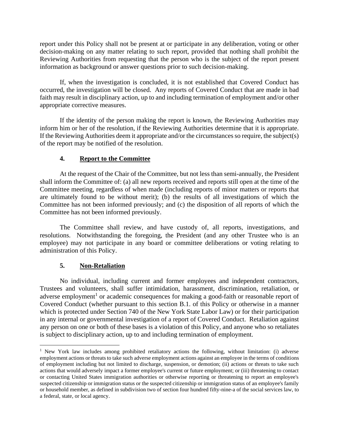report under this Policy shall not be present at or participate in any deliberation, voting or other decision-making on any matter relating to such report, provided that nothing shall prohibit the Reviewing Authorities from requesting that the person who is the subject of the report present information as background or answer questions prior to such decision-making.

If, when the investigation is concluded, it is not established that Covered Conduct has occurred, the investigation will be closed. Any reports of Covered Conduct that are made in bad faith may result in disciplinary action, up to and including termination of employment and/or other appropriate corrective measures.

If the identity of the person making the report is known, the Reviewing Authorities may inform him or her of the resolution, if the Reviewing Authorities determine that it is appropriate. If the Reviewing Authorities deem it appropriate and/or the circumstances so require, the subject(s) of the report may be notified of the resolution.

## **4. Report to the Committee**

At the request of the Chair of the Committee, but not less than semi-annually, the President shall inform the Committee of: (a) all new reports received and reports still open at the time of the Committee meeting, regardless of when made (including reports of minor matters or reports that are ultimately found to be without merit); (b) the results of all investigations of which the Committee has not been informed previously; and (c) the disposition of all reports of which the Committee has not been informed previously.

The Committee shall review, and have custody of, all reports, investigations, and resolutions. Notwithstanding the foregoing, the President (and any other Trustee who is an employee) may not participate in any board or committee deliberations or voting relating to administration of this Policy.

## **5. Non-Retaliation**

No individual, including current and former employees and independent contractors, Trustees and volunteers, shall suffer intimidation, harassment, discrimination, retaliation, or adverse employment<sup>1</sup> or academic consequences for making a good-faith or reasonable report of Covered Conduct (whether pursuant to this section B.1. of this Policy or otherwise in a manner which is protected under Section 740 of the New York State Labor Law) or for their participation in any internal or governmental investigation of a report of Covered Conduct. Retaliation against any person on one or both of these bases is a violation of this Policy, and anyone who so retaliates is subject to disciplinary action, up to and including termination of employment.

<sup>&</sup>lt;sup>1</sup> New York law includes among prohibited retaliatory actions the following, without limitation: (i) adverse employment actions or threats to take such adverse employment actions against an employee in the terms of conditions of employment including but not limited to discharge, suspension, or demotion; (ii) actions or threats to take such actions that would adversely impact a former employee's current or future employment; or (iii) threatening to contact or contacting United States immigration authorities or otherwise reporting or threatening to report an employee's suspected citizenship or immigration status or the suspected citizenship or immigration status of an employee's family or household member, as defined in subdivision two of section four hundred fifty-nine-a of the social services law, to a federal, state, or local agency.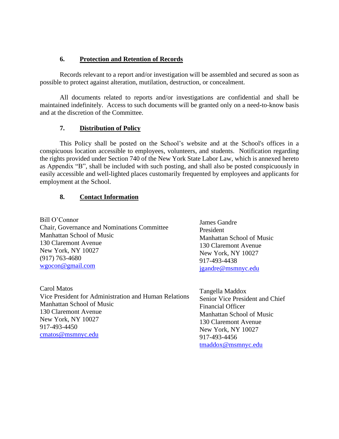## **6. Protection and Retention of Records**

Records relevant to a report and/or investigation will be assembled and secured as soon as possible to protect against alteration, mutilation, destruction, or concealment.

All documents related to reports and/or investigations are confidential and shall be maintained indefinitely. Access to such documents will be granted only on a need-to-know basis and at the discretion of the Committee.

### **7. Distribution of Policy**

This Policy shall be posted on the School's website and at the School's offices in a conspicuous location accessible to employees, volunteers, and students. Notification regarding the rights provided under Section 740 of the New York State Labor Law, which is annexed hereto as Appendix "B", shall be included with such posting, and shall also be posted conspicuously in easily accessible and well-lighted places customarily frequented by employees and applicants for employment at the School.

### **8. Contact Information**

Bill O'Connor Chair, Governance and Nominations Committee Manhattan School of Music 130 Claremont Avenue New York, NY 10027 (917) 763-4680 [wgocon@gmail.com](mailto:wgocon@gmail.com)

Carol Matos Vice President for Administration and Human Relations Manhattan School of Music 130 Claremont Avenue New York, NY 10027 917-493-4450 [cmatos@msmnyc.edu](mailto:cmatos@msmnyc.edu) 

James Gandre President Manhattan School of Music 130 Claremont Avenue New York, NY 10027 917-493-4438 [jgandre@msmnyc.edu](mailto:jgandre@msmnyc.edu)

Tangella Maddox Senior Vice President and Chief Financial Officer Manhattan School of Music 130 Claremont Avenue New York, NY 10027 917-493-4456 [tmaddox@msmnyc.edu](mailto:tmaddox@msmnyc.edu)